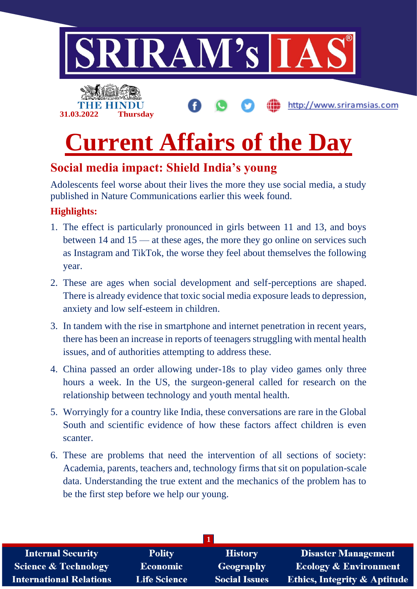

## **Current Affairs of the Day**

## **Social media impact: Shield India's young**

Adolescents feel worse about their lives the more they use social media, a study published in Nature Communications earlier this week found.

#### **Highlights:**

- 1. The effect is particularly pronounced in girls between 11 and 13, and boys between 14 and 15 — at these ages, the more they go online on services such as Instagram and TikTok, the worse they feel about themselves the following year.
- 2. These are ages when social development and self-perceptions are shaped. There is already evidence that toxic social media exposure leads to depression, anxiety and low self-esteem in children.
- 3. In tandem with the rise in smartphone and internet penetration in recent years, there has been an increase in reports of teenagers struggling with mental health issues, and of authorities attempting to address these.
- 4. China passed an order allowing under-18s to play video games only three hours a week. In the US, the surgeon-general called for research on the relationship between technology and youth mental health.
- 5. Worryingly for a country like India, these conversations are rare in the Global South and scientific evidence of how these factors affect children is even scanter.
- 6. These are problems that need the intervention of all sections of society: Academia, parents, teachers and, technology firms that sit on population-scale data. Understanding the true extent and the mechanics of the problem has to be the first step before we help our young.

| <b>Internal Security</b>        | <b>Polity</b>       | <b>History</b>       | <b>Disaster Management</b>              |
|---------------------------------|---------------------|----------------------|-----------------------------------------|
| <b>Science &amp; Technology</b> | <b>Economic</b>     | Geography            | <b>Ecology &amp; Environment</b>        |
| <b>International Relations</b>  | <b>Life Science</b> | <b>Social Issues</b> | <b>Ethics, Integrity &amp; Aptitude</b> |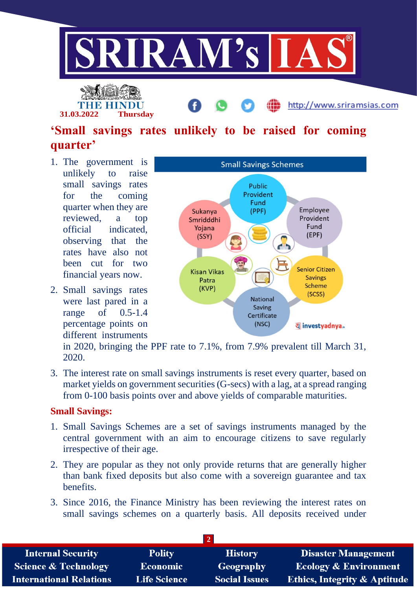

**31.03.2022 Thursday**

http://www.sriramsias.com

## **'Small savings rates unlikely to be raised for coming quarter'**

- 1. The government is unlikely to raise small savings rates for the coming quarter when they are reviewed, a top official indicated, observing that the rates have also not been cut for two financial years now.
- 2. Small savings rates were last pared in a range of 0.5-1.4 percentage points on different instruments



in 2020, bringing the PPF rate to 7.1%, from 7.9% prevalent till March 31, 2020.

3. The interest rate on small savings instruments is reset every quarter, based on market yields on government securities (G-secs) with a lag, at a spread ranging from 0-100 basis points over and above yields of comparable maturities.

#### **Small Savings:**

- 1. Small Savings Schemes are a set of savings instruments managed by the central government with an aim to encourage citizens to save regularly irrespective of their age.
- 2. They are popular as they not only provide returns that are generally higher than bank fixed deposits but also come with a sovereign guarantee and tax benefits.
- 3. Since 2016, the Finance Ministry has been reviewing the interest rates on small savings schemes on a quarterly basis. All deposits received under

| <b>Internal Security</b>        | <b>Polity</b>       | <b>History</b>       | <b>Disaster Management</b>              |
|---------------------------------|---------------------|----------------------|-----------------------------------------|
| <b>Science &amp; Technology</b> | <b>Economic</b>     | Geography            | <b>Ecology &amp; Environment</b>        |
| <b>International Relations</b>  | <b>Life Science</b> | <b>Social Issues</b> | <b>Ethics, Integrity &amp; Aptitude</b> |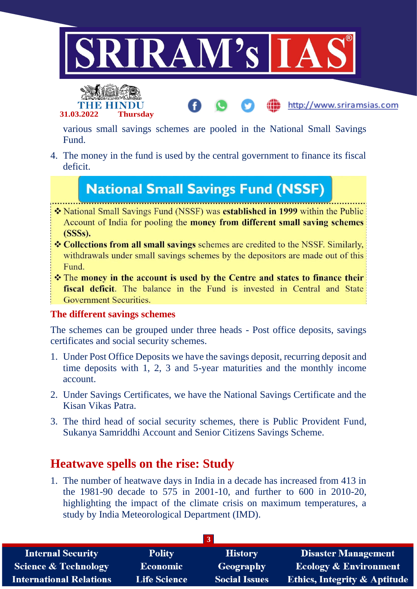



various small savings schemes are pooled in the National Small Savings Fund.

http://www.sriramsias.com

4. The money in the fund is used by the central government to finance its fiscal deficit.

## **National Small Savings Fund (NSSF)**

- \* National Small Savings Fund (NSSF) was **established in 1999** within the Public Account of India for pooling the money from different small saving schemes  $(SSSs)$ .
- ❖ Collections from all small savings schemes are credited to the NSSF. Similarly, withdrawals under small savings schemes by the depositors are made out of this Fund.
- \* The money in the account is used by the Centre and states to finance their fiscal deficit. The balance in the Fund is invested in Central and State **Government Securities.**

#### **The different savings schemes**

The schemes can be grouped under three heads - Post office deposits, savings certificates and social security schemes.

- 1. Under Post Office Deposits we have the savings deposit, recurring deposit and time deposits with 1, 2, 3 and 5-year maturities and the monthly income account.
- 2. Under Savings Certificates, we have the National Savings Certificate and the Kisan Vikas Patra.
- 3. The third head of social security schemes, there is Public Provident Fund, Sukanya Samriddhi Account and Senior Citizens Savings Scheme.

### **Heatwave spells on the rise: Study**

1. The number of heatwave days in India in a decade has increased from 413 in the 1981-90 decade to 575 in 2001-10, and further to 600 in 2010-20, highlighting the impact of the climate crisis on maximum temperatures, a study by India Meteorological Department (IMD).

| <b>Internal Security</b>        | <b>Polity</b>       | <b>History</b>       | <b>Disaster Management</b>              |
|---------------------------------|---------------------|----------------------|-----------------------------------------|
| <b>Science &amp; Technology</b> | <b>Economic</b>     | Geography            | <b>Ecology &amp; Environment</b>        |
| <b>International Relations</b>  | <b>Life Science</b> | <b>Social Issues</b> | <b>Ethics, Integrity &amp; Aptitude</b> |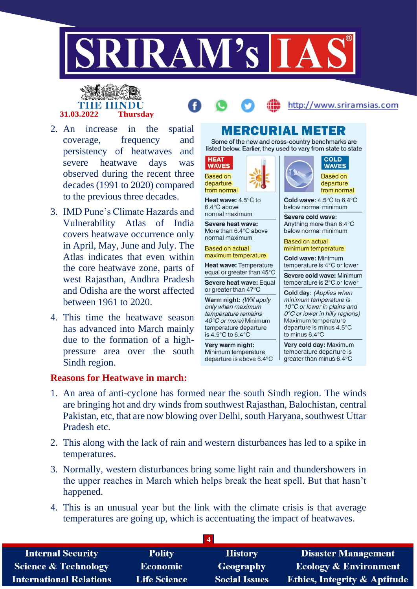

# **31.03.2022 Thursday**



http://www.sriramsias.com

- 2. An increase in the spatial coverage, frequency and persistency of heatwaves and severe heatwave days was observed during the recent three decades (1991 to 2020) compared to the previous three decades.
- 3. IMD Pune's Climate Hazards and Vulnerability Atlas of India covers heatwave occurrence only in April, May, June and July. The Atlas indicates that even within the core heatwave zone, parts of west Rajasthan, Andhra Pradesh and Odisha are the worst affected between 1961 to 2020.
- 4. This time the heatwave season has advanced into March mainly due to the formation of a highpressure area over the south Sindh region.

#### **Reasons for Heatwave in march:**

## MERCURIAL METER

Some of the new and cross-country benchmarks are listed below. Earlier, they used to vary from state to state

**HEAT WAVES Based on** departure from normal

Heat wave: 4.5°C to 6.4°C above normal maximum

Severe heat wave: More than 6.4°C above normal maximum

**Based on actual** maximum temperature

Heat wave: Temperature equal or greater than 45°C Severe heat wave: Equal

or greater than 47°C

Warm night: (Will apply only when maximum temperature remains 40°C or more) Minimum temperature departure is 4.5°C to 6.4°C

Very warm night: Minimum temperature departure is above 6.4°C





from normal

Cold wave: 4.5°C to 6.4°C below normal minimum

Severe cold wave: Anything more than 6.4°C below normal minimum

**Based on actual** minimum temperature

Cold wave: Minimum temperature is 4°C or lower

Severe cold wave: Minimum temperature is 2°C or lower

Cold day: (Applies when minimum temperature is 10°C or lower in plains and 0°C or lower in hilly regions) Maximum temperature departure is minus 4.5°C to minus 6.4°C

Very cold day: Maximum temperature departure is greater than minus 6.4°C

- 1. An area of anti-cyclone has formed near the south Sindh region. The winds are bringing hot and dry winds from southwest Rajasthan, Balochistan, central Pakistan, etc, that are now blowing over Delhi, south Haryana, southwest Uttar Pradesh etc.
- 2. This along with the lack of rain and western disturbances has led to a spike in temperatures.
- 3. Normally, western disturbances bring some light rain and thundershowers in the upper reaches in March which helps break the heat spell. But that hasn't happened.
- 4. This is an unusual year but the link with the climate crisis is that average temperatures are going up, which is accentuating the impact of heatwaves.

| <b>Internal Security</b>        | <b>Polity</b>       | <b>History</b>       | <b>Disaster Management</b>              |
|---------------------------------|---------------------|----------------------|-----------------------------------------|
| <b>Science &amp; Technology</b> | <b>Economic</b>     | Geography            | <b>Ecology &amp; Environment</b>        |
| <b>International Relations</b>  | <b>Life Science</b> | <b>Social Issues</b> | <b>Ethics, Integrity &amp; Aptitude</b> |